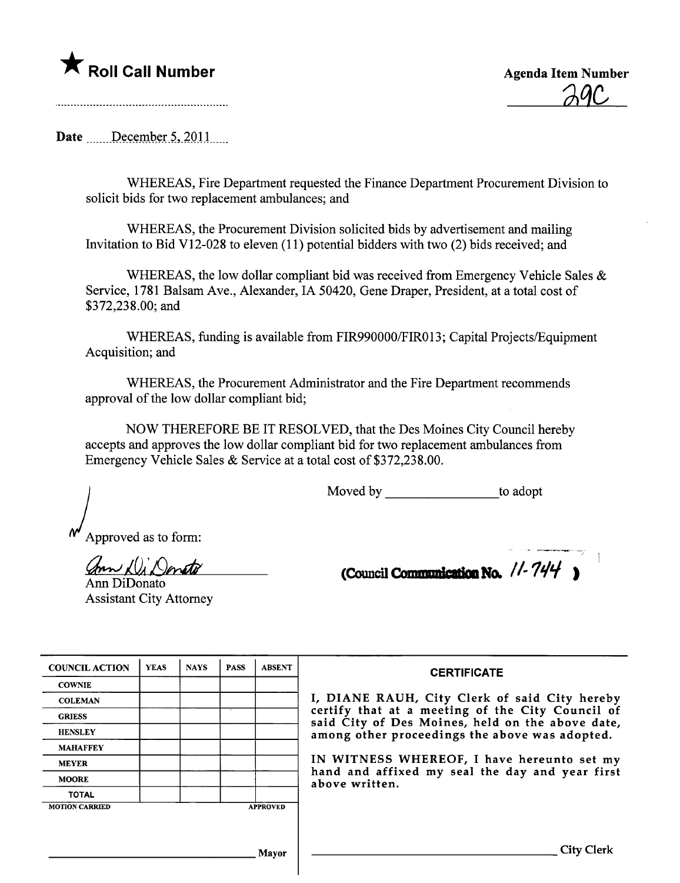## \* Roll Call Number Agenda Item Number

<u>29C</u>

Date  $December 5, 2011$ 

WHEREAS, Fire Department requested the Finance Department Procurement Division to solicit bids for two replacement ambulances; and

WHEREAS, the Procurement Division solicited bids by advertisement and mailing Invitation to Bid V12-028 to eleven (11) potential bidders with two (2) bids received; and

WHEREAS, the low dollar compliant bid was received from Emergency Vehicle Sales  $\&$ Service, 1781 Balsam Ave., Alexander, IA 50420, Gene Draper, President, at a total cost of \$372,238.00; and

WHEREAS, funding is available from FIR990000/FIR013; Capital Projects/Equipment Acquisition; and

WHEREAS, the Procurement Administrator and the Fire Department recommends approval of the low dollar compliant bid;

NOW THEREFORE BE IT RESOLVED, that the Des Moines City Council hereby accepts and approves the low dollar compliant bid for two replacement ambulances from Emergency Vehicle Sales & Service at a total cost of \$372,238.00.

Moved by to adopt

Approved as to form:

ann Di Donato

Ann DiDonato Assistant City Attorney

(Council Communication No.  $11.744$ )

| <b>COUNCIL ACTION</b> | <b>YEAS</b> | <b>NAYS</b> | <b>PASS</b> | <b>ABSENT</b>   | <b>CERTIFICATE</b>                                                                                   |
|-----------------------|-------------|-------------|-------------|-----------------|------------------------------------------------------------------------------------------------------|
| <b>COWNIE</b>         |             |             |             |                 |                                                                                                      |
| <b>COLEMAN</b>        |             |             |             |                 | I, DIANE RAUH, City Clerk of said City hereby                                                        |
| <b>GRIESS</b>         |             |             |             |                 | certify that at a meeting of the City Council of<br>said City of Des Moines, held on the above date, |
| <b>HENSLEY</b>        |             |             |             |                 | among other proceedings the above was adopted.                                                       |
| <b>MAHAFFEY</b>       |             |             |             |                 |                                                                                                      |
| <b>MEYER</b>          |             |             |             |                 | IN WITNESS WHEREOF, I have hereunto set my                                                           |
| <b>MOORE</b>          |             |             |             |                 | hand and affixed my seal the day and year first<br>above written.                                    |
| <b>TOTAL</b>          |             |             |             |                 |                                                                                                      |
| <b>MOTION CARRIED</b> |             |             |             | <b>APPROVED</b> |                                                                                                      |
|                       |             |             |             |                 |                                                                                                      |
|                       |             |             |             |                 |                                                                                                      |
|                       |             |             |             | Mayor           | City Clerk                                                                                           |